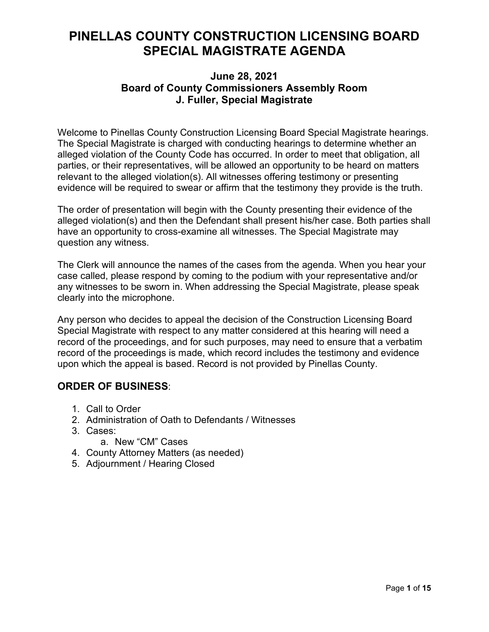## **PINELLAS COUNTY CONSTRUCTION LICENSING BOARD SPECIAL MAGISTRATE AGENDA**

### **June 28, 2021 Board of County Commissioners Assembly Room J. Fuller, Special Magistrate**

Welcome to Pinellas County Construction Licensing Board Special Magistrate hearings. The Special Magistrate is charged with conducting hearings to determine whether an alleged violation of the County Code has occurred. In order to meet that obligation, all parties, or their representatives, will be allowed an opportunity to be heard on matters relevant to the alleged violation(s). All witnesses offering testimony or presenting evidence will be required to swear or affirm that the testimony they provide is the truth.

The order of presentation will begin with the County presenting their evidence of the alleged violation(s) and then the Defendant shall present his/her case. Both parties shall have an opportunity to cross-examine all witnesses. The Special Magistrate may question any witness.

The Clerk will announce the names of the cases from the agenda. When you hear your case called, please respond by coming to the podium with your representative and/or any witnesses to be sworn in. When addressing the Special Magistrate, please speak clearly into the microphone.

Any person who decides to appeal the decision of the Construction Licensing Board Special Magistrate with respect to any matter considered at this hearing will need a record of the proceedings, and for such purposes, may need to ensure that a verbatim record of the proceedings is made, which record includes the testimony and evidence upon which the appeal is based. Record is not provided by Pinellas County.

### **ORDER OF BUSINESS**:

- 1. Call to Order
- 2. Administration of Oath to Defendants / Witnesses
- 3. Cases:
	- a. New "CM" Cases
- 4. County Attorney Matters (as needed)
- 5. Adjournment / Hearing Closed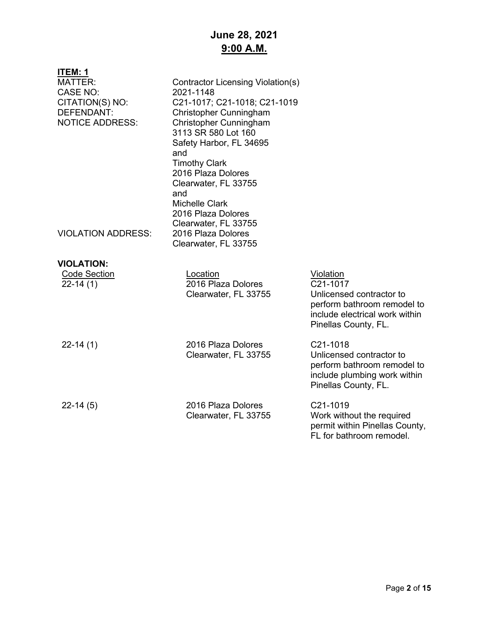## **June 28, 2021 9:00 A.M.**

| ITEM: 1<br><b>MATTER:</b><br><b>CASE NO:</b><br>CITATION(S) NO:<br>DEFENDANT:<br><b>NOTICE ADDRESS:</b><br><b>VIOLATION ADDRESS:</b> | Contractor Licensing Violation(s)<br>2021-1148<br>C21-1017; C21-1018; C21-1019<br>Christopher Cunningham<br>Christopher Cunningham<br>3113 SR 580 Lot 160<br>Safety Harbor, FL 34695<br>and<br><b>Timothy Clark</b><br>2016 Plaza Dolores<br>Clearwater, FL 33755<br>and<br><b>Michelle Clark</b><br>2016 Plaza Dolores<br>Clearwater, FL 33755<br>2016 Plaza Dolores |                                                                                                                                                         |
|--------------------------------------------------------------------------------------------------------------------------------------|-----------------------------------------------------------------------------------------------------------------------------------------------------------------------------------------------------------------------------------------------------------------------------------------------------------------------------------------------------------------------|---------------------------------------------------------------------------------------------------------------------------------------------------------|
|                                                                                                                                      | Clearwater, FL 33755                                                                                                                                                                                                                                                                                                                                                  |                                                                                                                                                         |
| <b>VIOLATION:</b>                                                                                                                    |                                                                                                                                                                                                                                                                                                                                                                       |                                                                                                                                                         |
| <b>Code Section</b><br>$22-14(1)$                                                                                                    | Location<br>2016 Plaza Dolores<br>Clearwater, FL 33755                                                                                                                                                                                                                                                                                                                | Violation<br>C <sub>21</sub> -1017<br>Unlicensed contractor to<br>perform bathroom remodel to<br>include electrical work within<br>Pinellas County, FL. |
| $22-14(1)$                                                                                                                           | 2016 Plaza Dolores<br>Clearwater, FL 33755                                                                                                                                                                                                                                                                                                                            | C21-1018<br>Unlicensed contractor to<br>perform bathroom remodel to<br>include plumbing work within<br>Pinellas County, FL.                             |
| $22-14(5)$                                                                                                                           | 2016 Plaza Dolores<br>Clearwater, FL 33755                                                                                                                                                                                                                                                                                                                            | C21-1019<br>Work without the required<br>permit within Pinellas County,<br>FL for bathroom remodel.                                                     |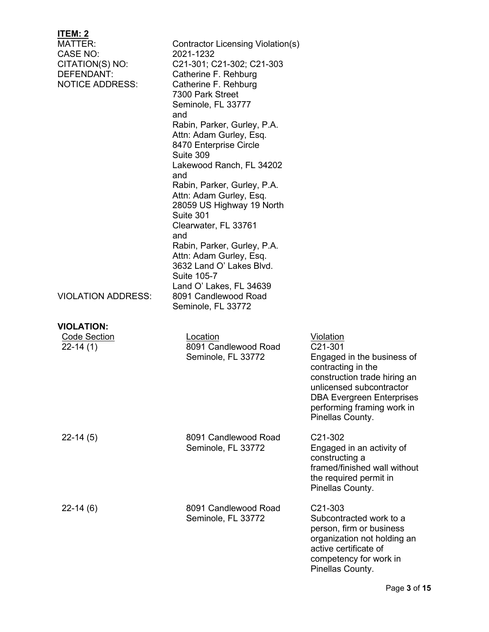| <u>ITEM: 2</u><br>MATTER:<br>CASE NO:<br>CITATION(S) NO:<br>DEFENDANT:<br><b>NOTICE ADDRESS:</b> | Contractor Licensing Violation(s)<br>2021-1232<br>C21-301; C21-302; C21-303<br>Catherine F. Rehburg<br>Catherine F. Rehburg<br>7300 Park Street<br>Seminole, FL 33777<br>and<br>Rabin, Parker, Gurley, P.A.<br>Attn: Adam Gurley, Esq.<br>8470 Enterprise Circle<br>Suite 309<br>Lakewood Ranch, FL 34202<br>and<br>Rabin, Parker, Gurley, P.A.<br>Attn: Adam Gurley, Esq.<br>28059 US Highway 19 North<br>Suite 301<br>Clearwater, FL 33761<br>and<br>Rabin, Parker, Gurley, P.A.<br>Attn: Adam Gurley, Esq.<br>3632 Land O' Lakes Blvd.<br>Suite 105-7<br>Land O' Lakes, FL 34639 |                                                                                                                                                                                                                                   |
|--------------------------------------------------------------------------------------------------|-------------------------------------------------------------------------------------------------------------------------------------------------------------------------------------------------------------------------------------------------------------------------------------------------------------------------------------------------------------------------------------------------------------------------------------------------------------------------------------------------------------------------------------------------------------------------------------|-----------------------------------------------------------------------------------------------------------------------------------------------------------------------------------------------------------------------------------|
| <b>VIOLATION ADDRESS:</b>                                                                        | 8091 Candlewood Road<br>Seminole, FL 33772                                                                                                                                                                                                                                                                                                                                                                                                                                                                                                                                          |                                                                                                                                                                                                                                   |
| <b>VIOLATION:</b><br><b>Code Section</b><br>$22-14(1)$                                           | Location<br>8091 Candlewood Road<br>Seminole, FL 33772                                                                                                                                                                                                                                                                                                                                                                                                                                                                                                                              | <u>Violation</u><br>C21-301<br>Engaged in the business of<br>contracting in the<br>construction trade hiring an<br>unlicensed subcontractor<br><b>DBA Evergreen Enterprises</b><br>performing framing work in<br>Pinellas County. |
| $22-14(5)$                                                                                       | 8091 Candlewood Road<br>Seminole, FL 33772                                                                                                                                                                                                                                                                                                                                                                                                                                                                                                                                          | C <sub>21</sub> -30 <sub>2</sub><br>Engaged in an activity of<br>constructing a<br>framed/finished wall without<br>the required permit in<br>Pinellas County.                                                                     |
| $22-14(6)$                                                                                       | 8091 Candlewood Road<br>Seminole, FL 33772                                                                                                                                                                                                                                                                                                                                                                                                                                                                                                                                          | C21-303<br>Subcontracted work to a<br>person, firm or business<br>organization not holding an<br>active certificate of<br>competency for work in<br>Pinellas County.                                                              |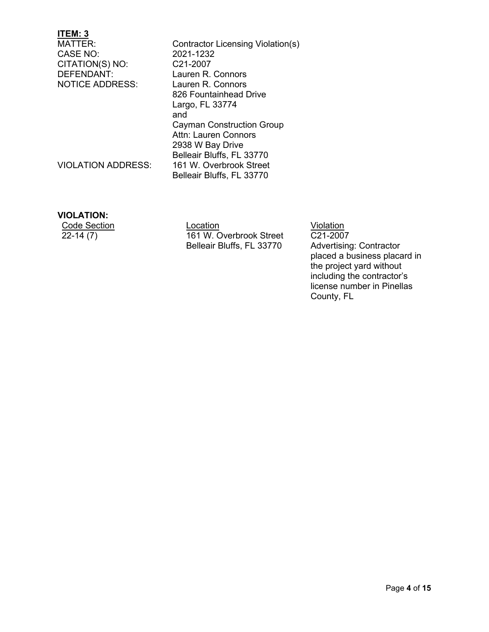CASE NO: 2021-1232<br>CITATION(S) NO: C21-2007 CITATION(S) NO: DEFENDANT: Lauren R. Connors NOTICE ADDRESS: Lauren R. Connors

Contractor Licensing Violation(s)<br>2021-1232 826 Fountainhead Drive Largo, FL 33774 and Cayman Construction Group Attn: Lauren Connors 2938 W Bay Drive Belleair Bluffs, FL 33770 VIOLATION ADDRESS: 161 W. Overbrook Street Belleair Bluffs, FL 33770

#### **VIOLATION:**

Code Section Location Location<br>
22-14 (7) 161 W. Overbrook Street C21-2007 161 W. Overbrook Street Belleair Bluffs, FL 33770

C21-2007 Advertising: Contractor placed a business placard in the project yard without including the contractor's license number in Pinellas County, FL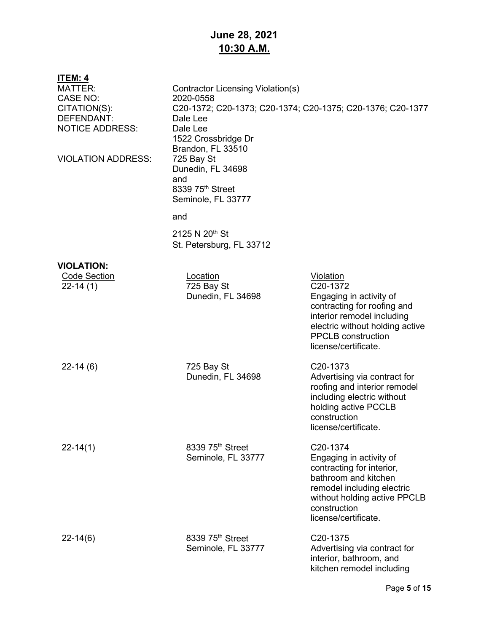## **June 28, 2021 10:30 A.M.**

| <u>ITEM: 4</u>                       |                                   |                                                            |  |
|--------------------------------------|-----------------------------------|------------------------------------------------------------|--|
| <b>MATTER:</b>                       | Contractor Licensing Violation(s) |                                                            |  |
| <b>CASE NO:</b>                      | 2020-0558                         |                                                            |  |
| CITATION(S):                         |                                   | C20-1372; C20-1373; C20-1374; C20-1375; C20-1376; C20-1377 |  |
| DEFENDANT:<br><b>NOTICE ADDRESS:</b> | Dale Lee<br>Dale Lee              |                                                            |  |
|                                      | 1522 Crossbridge Dr               |                                                            |  |
|                                      | Brandon, FL 33510                 |                                                            |  |
| <b>VIOLATION ADDRESS:</b>            | 725 Bay St                        |                                                            |  |
|                                      | Dunedin, FL 34698                 |                                                            |  |
|                                      | and                               |                                                            |  |
|                                      | 8339 75 <sup>th</sup> Street      |                                                            |  |
|                                      | Seminole, FL 33777                |                                                            |  |
|                                      | and                               |                                                            |  |
|                                      | 2125 N 20 <sup>th</sup> St        |                                                            |  |
|                                      | St. Petersburg, FL 33712          |                                                            |  |
| <b>VIOLATION:</b>                    |                                   |                                                            |  |
| <b>Code Section</b>                  | Location                          | <b>Violation</b>                                           |  |
| $22-14(1)$                           | 725 Bay St                        | C20-1372                                                   |  |
|                                      | Dunedin, FL 34698                 | Engaging in activity of                                    |  |
|                                      |                                   | contracting for roofing and<br>interior remodel including  |  |
|                                      |                                   | electric without holding active                            |  |
|                                      |                                   | <b>PPCLB</b> construction                                  |  |
|                                      |                                   | license/certificate.                                       |  |
| $22 - 14(6)$                         | 725 Bay St                        | C20-1373                                                   |  |
|                                      | Dunedin, FL 34698                 | Advertising via contract for                               |  |
|                                      |                                   | roofing and interior remodel                               |  |
|                                      |                                   | including electric without                                 |  |
|                                      |                                   | holding active PCCLB<br>construction                       |  |
|                                      |                                   | license/certificate                                        |  |
|                                      |                                   |                                                            |  |
| $22 - 14(1)$                         | 8339 75 <sup>th</sup> Street      | C20-1374                                                   |  |
|                                      | Seminole, FL 33777                | Engaging in activity of                                    |  |
|                                      |                                   | contracting for interior,<br>bathroom and kitchen          |  |
|                                      |                                   | remodel including electric                                 |  |
|                                      |                                   | without holding active PPCLB                               |  |
|                                      |                                   | construction                                               |  |
|                                      |                                   | license/certificate.                                       |  |
| $22 - 14(6)$                         | 8339 75th Street                  | C <sub>20</sub> -1375                                      |  |
|                                      | Seminole, FL 33777                | Advertising via contract for                               |  |
|                                      |                                   | interior, bathroom, and<br>kitchen remodel including       |  |
|                                      |                                   |                                                            |  |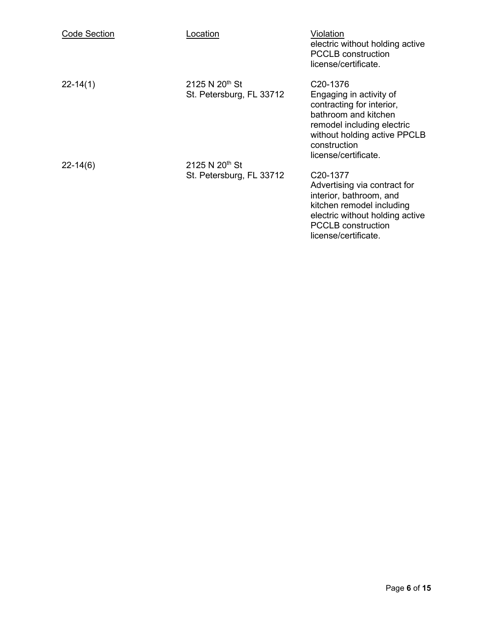| <b>Code Section</b> | <u>Location</u>                                        | Violation<br>electric without holding active<br><b>PCCLB</b> construction<br>license/certificate.                                                                                                           |
|---------------------|--------------------------------------------------------|-------------------------------------------------------------------------------------------------------------------------------------------------------------------------------------------------------------|
| $22 - 14(1)$        | 2125 N 20 <sup>th</sup> St<br>St. Petersburg, FL 33712 | C <sub>20</sub> -1376<br>Engaging in activity of<br>contracting for interior,<br>bathroom and kitchen<br>remodel including electric<br>without holding active PPCLB<br>construction<br>license/certificate. |
| $22 - 14(6)$        | 2125 N 20 <sup>th</sup> St<br>St. Petersburg, FL 33712 | C <sub>20</sub> -1377<br>Advertising via contract for<br>interior, bathroom, and<br>kitchen remodel including<br>electric without holding active<br><b>PCCLB</b> construction<br>license/certificate.       |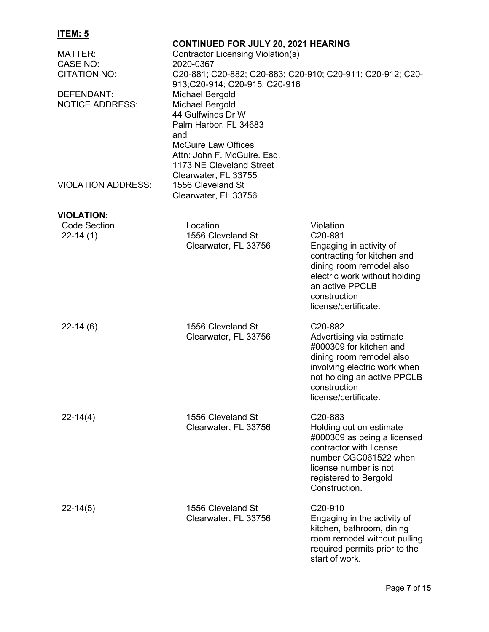| MATTER:<br><b>CASE NO:</b><br>CITATION NO:<br>DEFENDANT:<br><b>NOTICE ADDRESS:</b> | <b>CONTINUED FOR JULY 20, 2021 HEARING</b><br><b>Contractor Licensing Violation(s)</b><br>2020-0367<br>913;C20-914; C20-915; C20-916<br><b>Michael Bergold</b><br><b>Michael Bergold</b><br>44 Gulfwinds Dr W<br>Palm Harbor, FL 34683<br>and<br><b>McGuire Law Offices</b><br>Attn: John F. McGuire. Esq.<br>1173 NE Cleveland Street | C20-881; C20-882; C20-883; C20-910; C20-911; C20-912; C20-                                                                                                                                                                 |
|------------------------------------------------------------------------------------|----------------------------------------------------------------------------------------------------------------------------------------------------------------------------------------------------------------------------------------------------------------------------------------------------------------------------------------|----------------------------------------------------------------------------------------------------------------------------------------------------------------------------------------------------------------------------|
| <b>VIOLATION ADDRESS:</b>                                                          | Clearwater, FL 33755<br>1556 Cleveland St<br>Clearwater, FL 33756                                                                                                                                                                                                                                                                      |                                                                                                                                                                                                                            |
|                                                                                    |                                                                                                                                                                                                                                                                                                                                        |                                                                                                                                                                                                                            |
| <b>VIOLATION:</b>                                                                  |                                                                                                                                                                                                                                                                                                                                        |                                                                                                                                                                                                                            |
| <b>Code Section</b><br>$22-14(1)$                                                  | Location<br>1556 Cleveland St<br>Clearwater, FL 33756                                                                                                                                                                                                                                                                                  | <b>Violation</b><br>C <sub>20</sub> -881<br>Engaging in activity of<br>contracting for kitchen and<br>dining room remodel also<br>electric work without holding<br>an active PPCLB<br>construction<br>license/certificate. |
| $22-14(6)$                                                                         | 1556 Cleveland St<br>Clearwater, FL 33756                                                                                                                                                                                                                                                                                              | C <sub>20</sub> -882<br>Advertising via estimate<br>#000309 for kitchen and<br>dining room remodel also<br>involving electric work when<br>not holding an active PPCLB<br>construction<br>license/certificate.             |
| $22 - 14(4)$                                                                       | 1556 Cleveland St<br>Clearwater, FL 33756                                                                                                                                                                                                                                                                                              | C20-883<br>Holding out on estimate<br>#000309 as being a licensed<br>contractor with license<br>number CGC061522 when<br>license number is not<br>registered to Bergold<br>Construction.                                   |
| $22 - 14(5)$                                                                       | 1556 Cleveland St<br>Clearwater, FL 33756                                                                                                                                                                                                                                                                                              | C <sub>20</sub> -910<br>Engaging in the activity of<br>kitchen, bathroom, dining<br>room remodel without pulling<br>required permits prior to the<br>start of work.                                                        |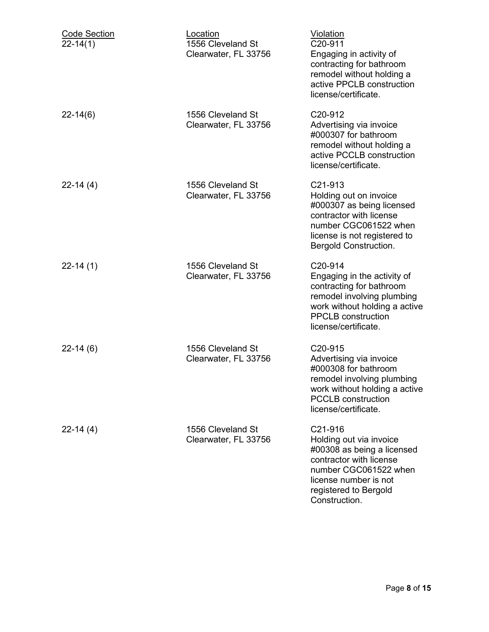| <b>Code Section</b><br>$22 - 14(1)$ | Location<br>1556 Cleveland St<br>Clearwater, FL 33756 | <b>Violation</b><br>C20-911<br>Engaging in activity of<br>contracting for bathroom<br>remodel without holding a<br>active PPCLB construction<br>license/certificate.                                |
|-------------------------------------|-------------------------------------------------------|-----------------------------------------------------------------------------------------------------------------------------------------------------------------------------------------------------|
| $22 - 14(6)$                        | 1556 Cleveland St<br>Clearwater, FL 33756             | C <sub>20</sub> -912<br>Advertising via invoice<br>#000307 for bathroom<br>remodel without holding a<br>active PCCLB construction<br>license/certificate.                                           |
| $22-14(4)$                          | 1556 Cleveland St<br>Clearwater, FL 33756             | C <sub>21</sub> -913<br>Holding out on invoice<br>#000307 as being licensed<br>contractor with license<br>number CGC061522 when<br>license is not registered to<br><b>Bergold Construction.</b>     |
| $22-14(1)$                          | 1556 Cleveland St<br>Clearwater, FL 33756             | C <sub>20</sub> -914<br>Engaging in the activity of<br>contracting for bathroom<br>remodel involving plumbing<br>work without holding a active<br><b>PPCLB</b> construction<br>license/certificate. |
| $22-14(6)$                          | 1556 Cleveland St<br>Clearwater, FL 33756             | C <sub>20</sub> -915<br>Advertising via invoice<br>#000308 for bathroom<br>remodel involving plumbing<br>work without holding a active<br><b>PCCLB</b> construction<br>license/certificate.         |
| $22 - 14(4)$                        | 1556 Cleveland St<br>Clearwater, FL 33756             | C21-916<br>Holding out via invoice<br>#00308 as being a licensed<br>contractor with license<br>number CGC061522 when<br>license number is not<br>registered to Bergold<br>Construction.             |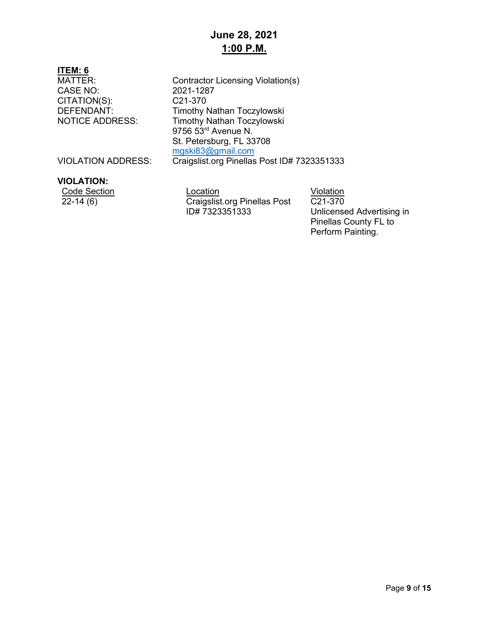CITATION(S):<br>DEFENDANT:

MATTER: Contractor Licensing Violation(s)<br>CASE NO: 2021-1287 2021-1287<br>C21-370 Timothy Nathan Toczylowski NOTICE ADDRESS: Timothy Nathan Toczylowski 9756 53<sup>rd</sup> Avenue N. St. Petersburg, FL 33708 [mgski83@gmail.com](mailto:mgski83@gmail.com)

VIOLATION ADDRESS: Craigslist.org Pinellas Post ID# 7323351333

#### **VIOLATION:**

Code Section Location Location Location Violation<br>22-14 (6) Craigslist.org Pinellas Post C21-370 Craigslist.org Pinellas Post ID# 7323351333

C21-370 Unlicensed Advertising in Pinellas County FL to Perform Painting.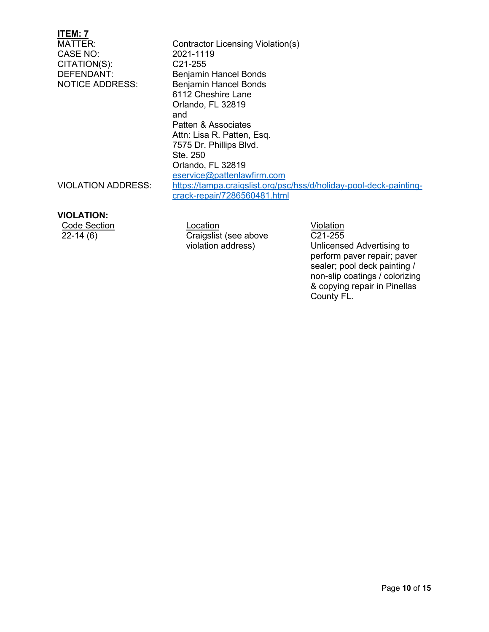| ITEM: 7                   |                                                                    |
|---------------------------|--------------------------------------------------------------------|
| MATTER:                   | Contractor Licensing Violation(s)                                  |
| CASE NO:                  | 2021-1119                                                          |
| CITATION(S):              | C <sub>21</sub> -255                                               |
| DEFENDANT:                | <b>Benjamin Hancel Bonds</b>                                       |
| <b>NOTICE ADDRESS:</b>    | <b>Benjamin Hancel Bonds</b>                                       |
|                           | 6112 Cheshire Lane                                                 |
|                           | Orlando, FL 32819                                                  |
|                           | and                                                                |
|                           | Patten & Associates                                                |
|                           | Attn: Lisa R. Patten, Esq.                                         |
|                           | 7575 Dr. Phillips Blvd.                                            |
|                           | Ste. 250                                                           |
|                           | Orlando, FL 32819                                                  |
|                           | eservice@pattenlawfirm.com                                         |
| <b>VIOLATION ADDRESS:</b> | https://tampa.craigslist.org/psc/hss/d/holiday-pool-deck-painting- |
|                           | crack-repair/7286560481.html                                       |
|                           |                                                                    |

#### **VIOLATION:**

Code Section<br>
Code Section<br>
22-14 (6) Craigslist (see above C21-255 Craigslist (see above violation address)

C21-255 Unlicensed Advertising to perform paver repair; paver sealer; pool deck painting / non-slip coatings / colorizing & copying repair in Pinellas County FL.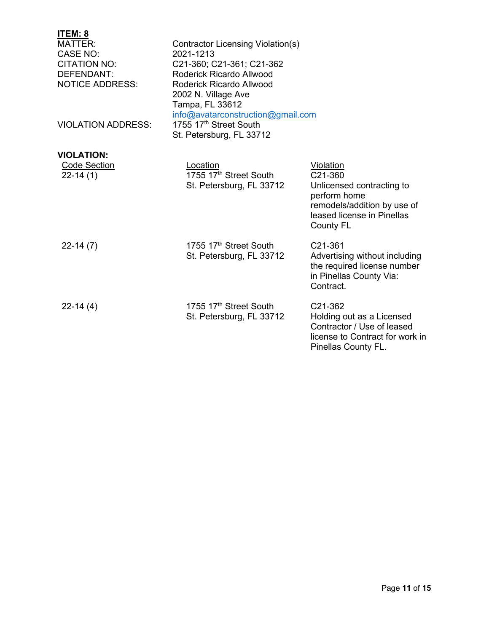| ITEM: 8                   |                                    |                                                        |
|---------------------------|------------------------------------|--------------------------------------------------------|
| <b>MATTER:</b>            | Contractor Licensing Violation(s)  |                                                        |
| <b>CASE NO:</b>           | 2021-1213                          |                                                        |
| <b>CITATION NO:</b>       | C21-360; C21-361; C21-362          |                                                        |
| <b>DEFENDANT:</b>         | Roderick Ricardo Allwood           |                                                        |
| <b>NOTICE ADDRESS:</b>    | <b>Roderick Ricardo Allwood</b>    |                                                        |
|                           | 2002 N. Village Ave                |                                                        |
|                           | Tampa, FL 33612                    |                                                        |
|                           | info@avatarconstruction@gmail.com  |                                                        |
| <b>VIOLATION ADDRESS:</b> | 1755 17th Street South             |                                                        |
|                           | St. Petersburg, FL 33712           |                                                        |
| <b>VIOLATION:</b>         |                                    |                                                        |
| <b>Code Section</b>       | Location                           | Violation                                              |
| $22 - 14(1)$              | 1755 17 <sup>th</sup> Street South | C21-360                                                |
|                           | St. Petersburg, FL 33712           | Unlicensed contracting to                              |
|                           |                                    | perform home                                           |
|                           |                                    | remodels/addition by use of                            |
|                           |                                    | leased license in Pinellas                             |
|                           |                                    | <b>County FL</b>                                       |
|                           | 1755 17 <sup>th</sup> Street South |                                                        |
| $22-14(7)$                |                                    | C21-361                                                |
|                           | St. Petersburg, FL 33712           | Advertising without including                          |
|                           |                                    | the required license number<br>in Pinellas County Via: |
|                           |                                    | Contract.                                              |
|                           |                                    |                                                        |
| $22-14(4)$                | 1755 17 <sup>th</sup> Street South | C21-362                                                |
|                           | St. Petersburg, FL 33712           | Holding out as a Licensed                              |
|                           |                                    | Contractor / Use of leased                             |
|                           |                                    | license to Contract for work in                        |
|                           |                                    | Pinellas County FL.                                    |
|                           |                                    |                                                        |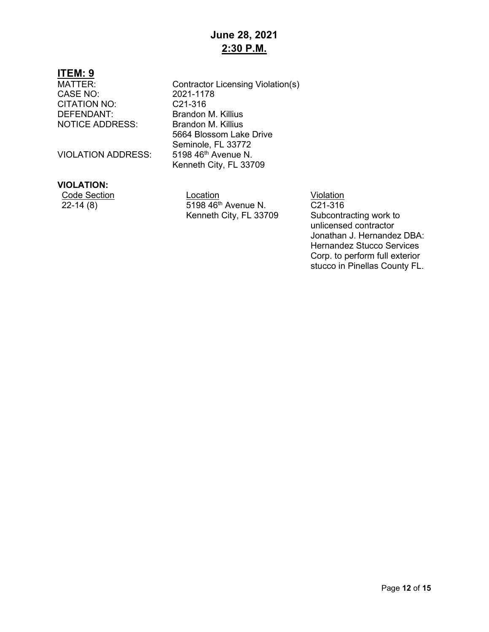CASE NO: 2021-1178<br>CITATION NO: C21-316 CITATION NO:<br>DEFENDANT: NOTICE ADDRESS: Brandon M. Killius

**VIOLATION ADDRESS:** 

#### **VIOLATION:**

Contractor Licensing Violation(s) Brandon M. Killius 5664 Blossom Lake Drive Seminole, FL 33772<br>5198 46<sup>th</sup> Avenue N. Kenneth City, FL 33709

Code Section Location Location Location Violation Violation Violation C21-316 5198 46<sup>th</sup> Avenue N. Kenneth City, FL 33709

C21-316 Subcontracting work to unlicensed contractor Jonathan J. Hernandez DBA: Hernandez Stucco Services Corp. to perform full exterior stucco in Pinellas County FL.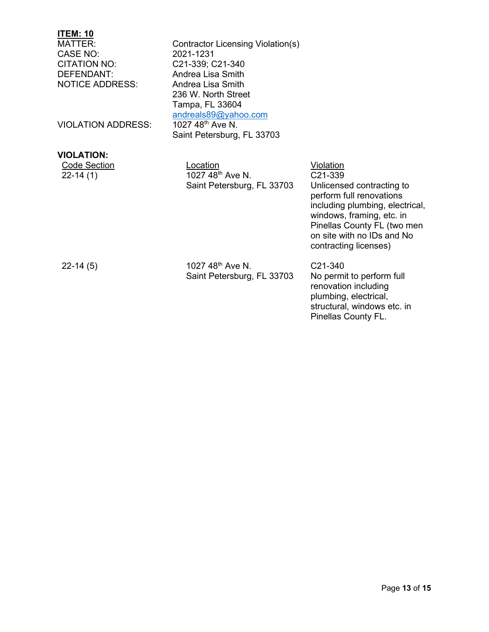CASE NO:<br>CITATION NO: DEFENDANT: Andrea Lisa Smith<br>
NOTICE ADDRESS: Andrea Lisa Smith NOTICE ADDRESS:

VIOLATION ADDRESS:

Contractor Licensing Violation(s)<br>2021-1231 C21-339; C21-340 236 W. North Street Tampa, FL 33604 andreals89@yahoo.com<br>1027 48<sup>th</sup> Ave N. Saint Petersburg, FL 33703

| /IOLATION:   |                              |                  |
|--------------|------------------------------|------------------|
| Code Section | Location                     | Violation        |
| $22 - 14(1)$ | 1027 48 <sup>th</sup> Ave N. | C21-339          |
|              | Saint Petersburg, FL 33703   | <b>Unlicense</b> |

C21-339 Unlicensed contracting to perform full renovations including plumbing, electrical, windows, framing, etc. in Pinellas County FL (two men on site with no IDs and No contracting licenses)

22-14 (5)

**VIOLATION:**

1027 48th Ave N. Saint Petersburg, FL 33703 C21-340 No permit to perform full renovation including plumbing, electrical, structural, windows etc. in Pinellas County FL.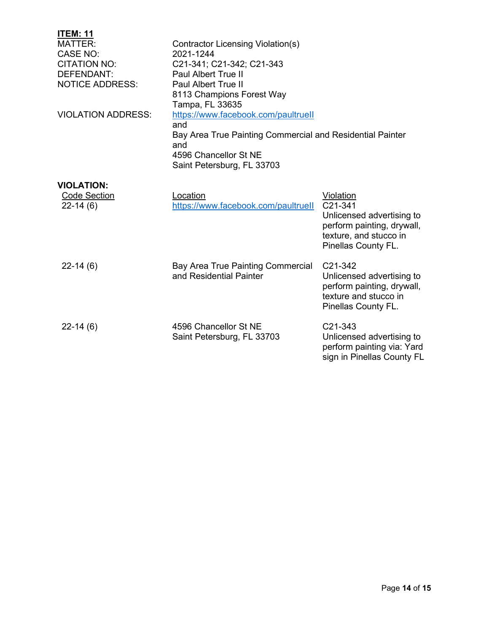| <b>ITEM: 11</b>           |                                                           |                            |  |
|---------------------------|-----------------------------------------------------------|----------------------------|--|
| <b>MATTER:</b>            | Contractor Licensing Violation(s)                         |                            |  |
| <b>CASE NO:</b>           | 2021-1244                                                 |                            |  |
| <b>CITATION NO:</b>       | C21-341; C21-342; C21-343                                 |                            |  |
| DEFENDANT:                | <b>Paul Albert True II</b>                                |                            |  |
| <b>NOTICE ADDRESS:</b>    | <b>Paul Albert True II</b>                                |                            |  |
|                           | 8113 Champions Forest Way                                 |                            |  |
|                           | Tampa, FL 33635                                           |                            |  |
| <b>VIOLATION ADDRESS:</b> | https://www.facebook.com/paultruell                       |                            |  |
|                           | and                                                       |                            |  |
|                           | Bay Area True Painting Commercial and Residential Painter |                            |  |
|                           | and                                                       |                            |  |
|                           | 4596 Chancellor St NE                                     |                            |  |
|                           | Saint Petersburg, FL 33703                                |                            |  |
| <b>VIOLATION:</b>         |                                                           |                            |  |
| <b>Code Section</b>       | Location                                                  | Violation                  |  |
| $22-14(6)$                | https://www.facebook.com/paultruell                       | C21-341                    |  |
|                           |                                                           | Unlicensed advertising to  |  |
|                           |                                                           | perform painting, drywall, |  |
|                           |                                                           | texture, and stucco in     |  |
|                           |                                                           | Pinellas County FL.        |  |
|                           |                                                           |                            |  |
| $22-14(6)$                | Bay Area True Painting Commercial                         | C <sub>21</sub> -342       |  |
|                           | and Residential Painter                                   | Unlicensed advertising to  |  |
|                           |                                                           | perform painting, drywall, |  |
|                           |                                                           | texture and stucco in      |  |
|                           |                                                           | Pinellas County FL.        |  |
| $22-14(6)$                | 4596 Chancellor St NE                                     | C21-343                    |  |
|                           | Saint Petersburg, FL 33703                                | Unlicensed advertising to  |  |
|                           |                                                           | perform painting via: Yard |  |
|                           |                                                           | sign in Pinellas County FL |  |